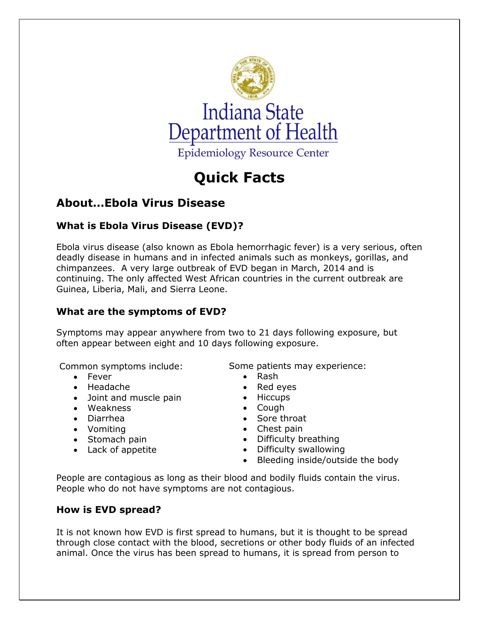

# **Quick Facts**

# **About…Ebola Virus Disease**

# **What is Ebola Virus Disease (EVD)?**

Ebola virus disease (also known as Ebola hemorrhagic fever) is a very serious, often deadly disease in humans and in infected animals such as monkeys, gorillas, and chimpanzees. A very large outbreak of EVD began in March, 2014 and is continuing. The only affected West African countries in the current outbreak are Guinea, Liberia, Mali, and Sierra Leone.

# **What are the symptoms of EVD?**

Symptoms may appear anywhere from two to 21 days following exposure, but often appear between eight and 10 days following exposure.

Common symptoms include:

- Fever
- Headache
- Joint and muscle pain
- Weakness
- Diarrhea
- Vomiting
- Stomach pain
- Lack of appetite

Some patients may experience:

- Rash
- Red eyes
- Hiccups
- Cough
- Sore throat
- Chest pain
- Difficulty breathing
- Difficulty swallowing
- Bleeding inside/outside the body

People are contagious as long as their blood and bodily fluids contain the virus. People who do not have symptoms are not contagious.

# **How is EVD spread?**

It is not known how EVD is first spread to humans, but it is thought to be spread through close contact with the blood, secretions or other body fluids of an infected animal. Once the virus has been spread to humans, it is spread from person to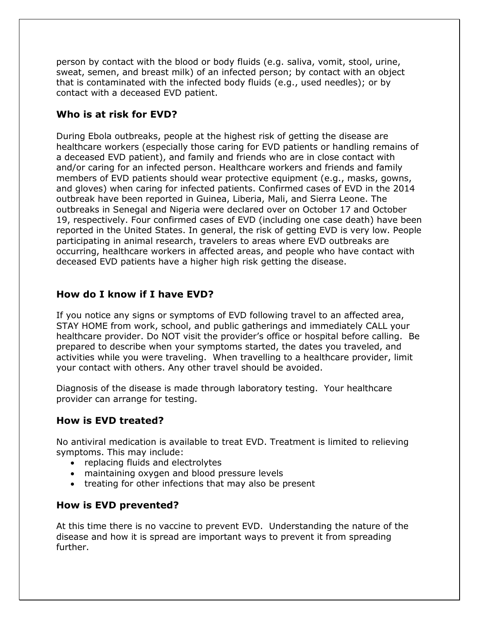person by contact with the blood or body fluids (e.g. saliva, vomit, stool, urine, sweat, semen, and breast milk) of an infected person; by contact with an object that is contaminated with the infected body fluids (e.g., used needles); or by contact with a deceased EVD patient.

### **Who is at risk for EVD?**

During Ebola outbreaks, people at the highest risk of getting the disease are healthcare workers (especially those caring for EVD patients or handling remains of a deceased EVD patient), and family and friends who are in close contact with and/or caring for an infected person. Healthcare workers and friends and family members of EVD patients should wear protective equipment (e.g., masks, gowns, and gloves) when caring for infected patients. Confirmed cases of EVD in the 2014 outbreak have been reported in Guinea, Liberia, Mali, and Sierra Leone. The outbreaks in Senegal and Nigeria were declared over on October 17 and October 19, respectively. Four confirmed cases of EVD (including one case death) have been reported in the United States. In general, the risk of getting EVD is very low. People participating in animal research, travelers to areas where EVD outbreaks are occurring, healthcare workers in affected areas, and people who have contact with deceased EVD patients have a higher high risk getting the disease.

#### **How do I know if I have EVD?**

If you notice any signs or symptoms of EVD following travel to an affected area, STAY HOME from work, school, and public gatherings and immediately CALL your healthcare provider. Do NOT visit the provider's office or hospital before calling. Be prepared to describe when your symptoms started, the dates you traveled, and activities while you were traveling. When travelling to a healthcare provider, limit your contact with others. Any other travel should be avoided.

Diagnosis of the disease is made through laboratory testing. Your healthcare provider can arrange for testing.

### **How is EVD treated?**

No antiviral medication is available to treat EVD. Treatment is limited to relieving symptoms. This may include:

- replacing fluids and electrolytes
- maintaining oxygen and blood pressure levels
- treating for other infections that may also be present

#### **How is EVD prevented?**

At this time there is no vaccine to prevent EVD. Understanding the nature of the disease and how it is spread are important ways to prevent it from spreading further.